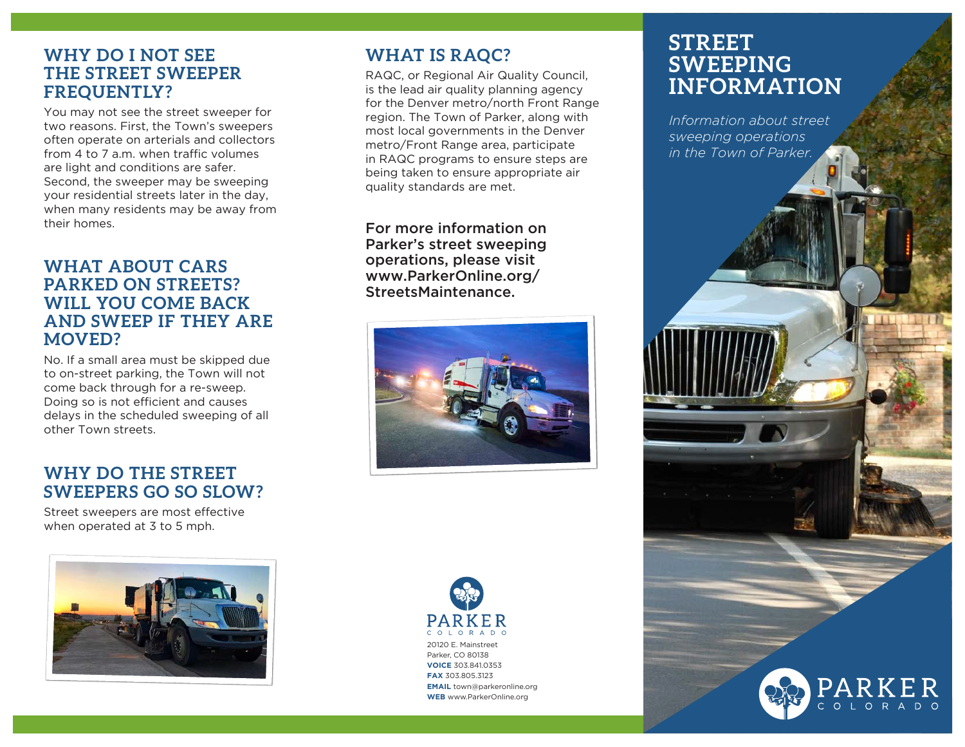## **WHY DO I NOT SEE THE STREET SWEEPER FREQUENTLY?**

You may not see the street sweeper for two reasons. First, the Town's sweepers often operate on arterials and collectors from 4 to 7 a.m. when traffic volumes are light and conditions are safer. Second, the sweeper may be sweeping your residential streets later in the day, when many residents may be away from their homes.

### **WHAT ABOUT CARS PARKED ON STREETS? WILL YOU COME BACK AND SWEEP IF THEY ARE MOVED?**

No. If a small area must be skipped due to on-street parking, the Town will not come back through for a re-sweep. Doing so is not efficient and causes delays in the scheduled sweeping of all other Town streets.

## **WHY DO THE STREET SWEEPERS GO SO SLOW?**

Street sweepers are most effective when operated at 3 to 5 mph.



# **WHAT IS RAQC?**

RAQC, or Regional Air Quality Council, is the lead air quality planning agency for the Denver metro/north Front Range region. The Town of Parker, along with most local governments in the Denver metro/Front Range area, participate in RAQC programs to ensure steps are being taken to ensure appropriate air quality standards are met.

For more information on Parker's street sweeping operations, please visit www.ParkerOnline.org/ StreetsMaintenance.





# **STREET SWEEPING INFORMATION**

*Information about street sweeping operations in the Town of Parker.*